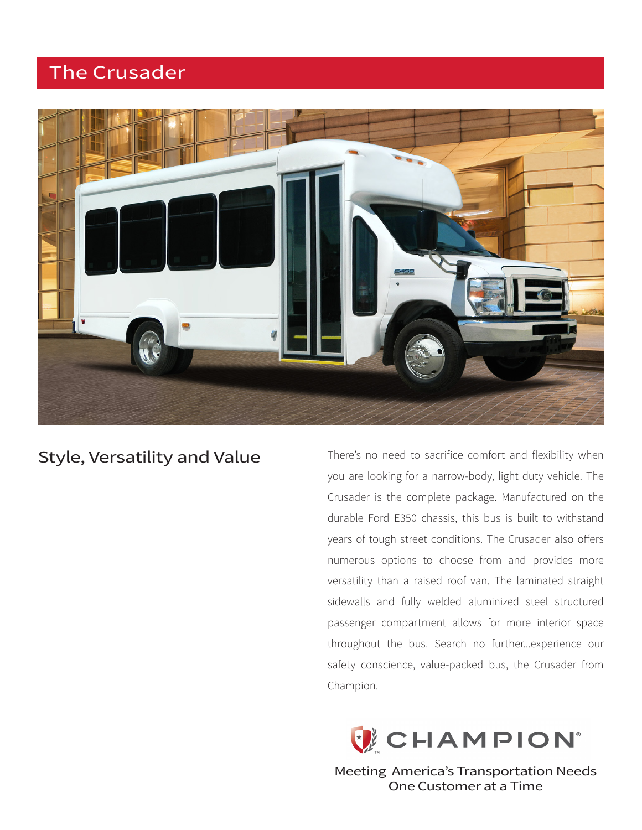# The Crusader



## Style, Versatility and Value

There's no need to sacrifice comfort and flexibility when you are looking for a narrow-body, light duty vehicle. The Crusader is the complete package. Manufactured on the durable Ford E350 chassis, this bus is built to withstand years of tough street conditions. The Crusader also offers numerous options to choose from and provides more versatility than a raised roof van. The laminated straight sidewalls and fully welded aluminized steel structured passenger compartment allows for more interior space throughout the bus. Search no further...experience our safety conscience, value-packed bus, the Crusader from Champion.



Meeting America's Transportation Needs One Customer at a Time